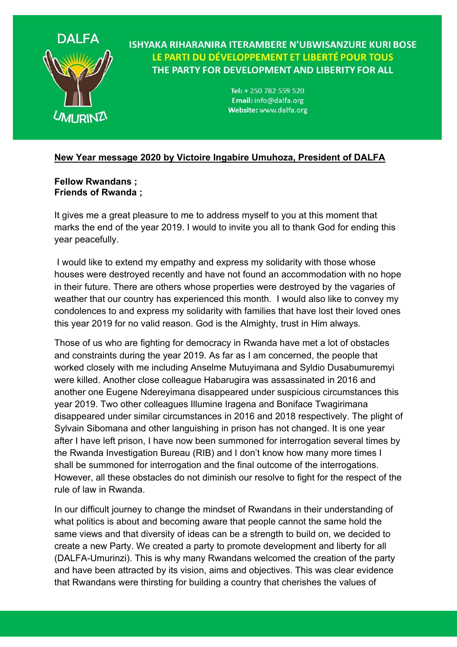

**ISHYAKA RIHARANIRA ITERAMBERE N'UBWISANZURE KURI BOSE** LE PARTI DU DÉVELOPPEMENT ET LIBERTÉ POUR TOUS THE PARTY FOR DEVELOPMENT AND LIBERITY FOR ALL

> Tel: + 250 782 559 520 Email: info@dalfa.org Website: www.dalfa.org

## **New Year message 2020 by Victoire Ingabire Umuhoza, President of DALFA**

## **Fellow Rwandans ; Friends of Rwanda ;**

It gives me a great pleasure to me to address myself to you at this moment that marks the end of the year 2019. I would to invite you all to thank God for ending this year peacefully.

I would like to extend my empathy and express my solidarity with those whose houses were destroyed recently and have not found an accommodation with no hope in their future. There are others whose properties were destroyed by the vagaries of weather that our country has experienced this month. I would also like to convey my condolences to and express my solidarity with families that have lost their loved ones this year 2019 for no valid reason. God is the Almighty, trust in Him always.

Those of us who are fighting for democracy in Rwanda have met a lot of obstacles and constraints during the year 2019. As far as I am concerned, the people that worked closely with me including Anselme Mutuyimana and Syldio Dusabumuremyi were killed. Another close colleague Habarugira was assassinated in 2016 and another one Eugene Ndereyimana disappeared under suspicious circumstances this year 2019. Two other colleagues Illumine Iragena and Boniface Twagirimana disappeared under similar circumstances in 2016 and 2018 respectively. The plight of Sylvain Sibomana and other languishing in prison has not changed. It is one year after I have left prison, I have now been summoned for interrogation several times by the Rwanda Investigation Bureau (RIB) and I don't know how many more times I shall be summoned for interrogation and the final outcome of the interrogations. However, all these obstacles do not diminish our resolve to fight for the respect of the rule of law in Rwanda.

In our difficult journey to change the mindset of Rwandans in their understanding of what politics is about and becoming aware that people cannot the same hold the same views and that diversity of ideas can be a strength to build on, we decided to create a new Party. We created a party to promote development and liberty for all (DALFA-Umurinzi). This is why many Rwandans welcomed the creation of the party and have been attracted by its vision, aims and objectives. This was clear evidence that Rwandans were thirsting for building a country that cherishes the values of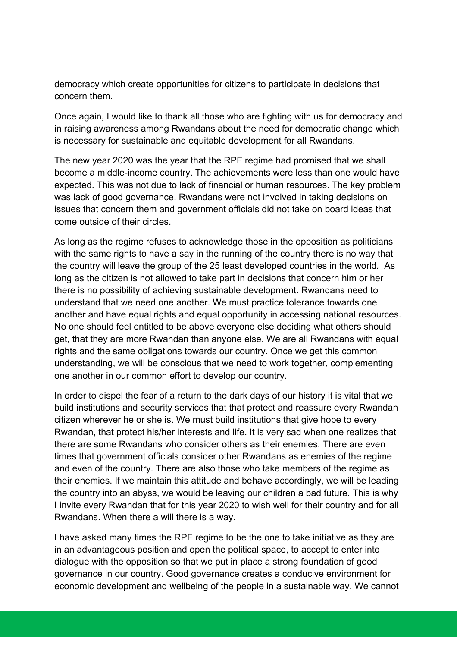democracy which create opportunities for citizens to participate in decisions that concern them.

Once again, I would like to thank all those who are fighting with us for democracy and in raising awareness among Rwandans about the need for democratic change which is necessary for sustainable and equitable development for all Rwandans.

The new year 2020 was the year that the RPF regime had promised that we shall become a middle-income country. The achievements were less than one would have expected. This was not due to lack of financial or human resources. The key problem was lack of good governance. Rwandans were not involved in taking decisions on issues that concern them and government officials did not take on board ideas that come outside of their circles.

As long as the regime refuses to acknowledge those in the opposition as politicians with the same rights to have a say in the running of the country there is no way that the country will leave the group of the 25 least developed countries in the world*.* As long as the citizen is not allowed to take part in decisions that concern him or her there is no possibility of achieving sustainable development. Rwandans need to understand that we need one another. We must practice tolerance towards one another and have equal rights and equal opportunity in accessing national resources. No one should feel entitled to be above everyone else deciding what others should get, that they are more Rwandan than anyone else. We are all Rwandans with equal rights and the same obligations towards our country. Once we get this common understanding, we will be conscious that we need to work together, complementing one another in our common effort to develop our country.

In order to dispel the fear of a return to the dark days of our history it is vital that we build institutions and security services that that protect and reassure every Rwandan citizen wherever he or she is. We must build institutions that give hope to every Rwandan, that protect his/her interests and life. It is very sad when one realizes that there are some Rwandans who consider others as their enemies. There are even times that government officials consider other Rwandans as enemies of the regime and even of the country. There are also those who take members of the regime as their enemies. If we maintain this attitude and behave accordingly, we will be leading the country into an abyss, we would be leaving our children a bad future. This is why I invite every Rwandan that for this year 2020 to wish well for their country and for all Rwandans. When there a will there is a way.

I have asked many times the RPF regime to be the one to take initiative as they are in an advantageous position and open the political space, to accept to enter into dialogue with the opposition so that we put in place a strong foundation of good governance in our country. Good governance creates a conducive environment for economic development and wellbeing of the people in a sustainable way. We cannot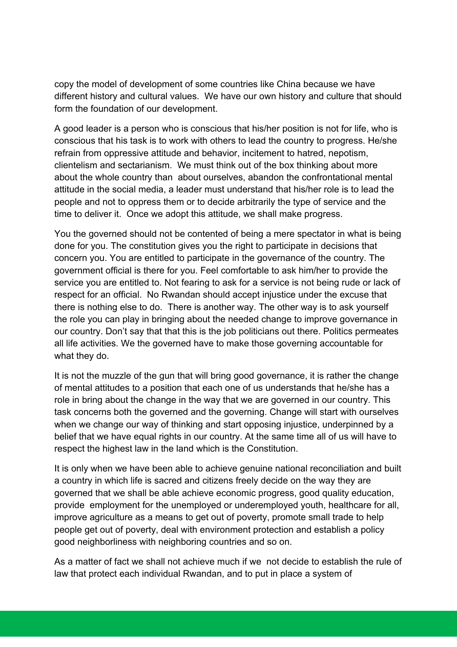copy the model of development of some countries like China because we have different history and cultural values. We have our own history and culture that should form the foundation of our development.

A good leader is a person who is conscious that his/her position is not for life, who is conscious that his task is to work with others to lead the country to progress. He/she refrain from oppressive attitude and behavior, incitement to hatred, nepotism, clientelism and sectarianism. We must think out of the box thinking about more about the whole country than about ourselves, abandon the confrontational mental attitude in the social media, a leader must understand that his/her role is to lead the people and not to oppress them or to decide arbitrarily the type of service and the time to deliver it. Once we adopt this attitude, we shall make progress.

You the governed should not be contented of being a mere spectator in what is being done for you. The constitution gives you the right to participate in decisions that concern you. You are entitled to participate in the governance of the country. The government official is there for you. Feel comfortable to ask him/her to provide the service you are entitled to. Not fearing to ask for a service is not being rude or lack of respect for an official. No Rwandan should accept injustice under the excuse that there is nothing else to do. There is another way. The other way is to ask yourself the role you can play in bringing about the needed change to improve governance in our country. Don't say that that this is the job politicians out there. Politics permeates all life activities. We the governed have to make those governing accountable for what they do.

It is not the muzzle of the gun that will bring good governance, it is rather the change of mental attitudes to a position that each one of us understands that he/she has a role in bring about the change in the way that we are governed in our country. This task concerns both the governed and the governing. Change will start with ourselves when we change our way of thinking and start opposing injustice, underpinned by a belief that we have equal rights in our country. At the same time all of us will have to respect the highest law in the land which is the Constitution.

It is only when we have been able to achieve genuine national reconciliation and built a country in which life is sacred and citizens freely decide on the way they are governed that we shall be able achieve economic progress, good quality education, provide employment for the unemployed or underemployed youth, healthcare for all, improve agriculture as a means to get out of poverty, promote small trade to help people get out of poverty, deal with environment protection and establish a policy good neighborliness with neighboring countries and so on.

As a matter of fact we shall not achieve much if we not decide to establish the rule of law that protect each individual Rwandan, and to put in place a system of